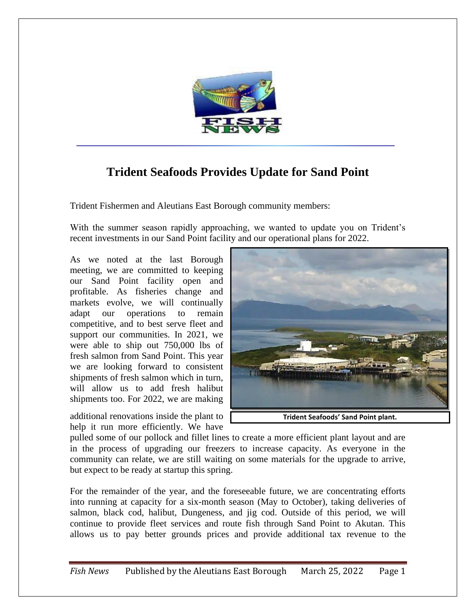

## **Trident Seafoods Provides Update for Sand Point**

Trident Fishermen and Aleutians East Borough community members:

With the summer season rapidly approaching, we wanted to update you on Trident's recent investments in our Sand Point facility and our operational plans for 2022.

As we noted at the last Borough meeting, we are committed to keeping our Sand Point facility open and profitable. As fisheries change and markets evolve, we will continually adapt our operations to remain competitive, and to best serve fleet and support our communities. In 2021, we were able to ship out 750,000 lbs of fresh salmon from Sand Point. This year we are looking forward to consistent shipments of fresh salmon which in turn, will allow us to add fresh halibut shipments too. For 2022, we are making

additional renovations inside the plant to help it run more efficiently. We have



**Trident Seafoods' Sand Point plant.**

pulled some of our pollock and fillet lines to create a more efficient plant layout and are in the process of upgrading our freezers to increase capacity. As everyone in the community can relate, we are still waiting on some materials for the upgrade to arrive, but expect to be ready at startup this spring.

For the remainder of the year, and the foreseeable future, we are concentrating efforts into running at capacity for a six-month season (May to October), taking deliveries of salmon, black cod, halibut, Dungeness, and jig cod. Outside of this period, we will continue to provide fleet services and route fish through Sand Point to Akutan. This allows us to pay better grounds prices and provide additional tax revenue to the